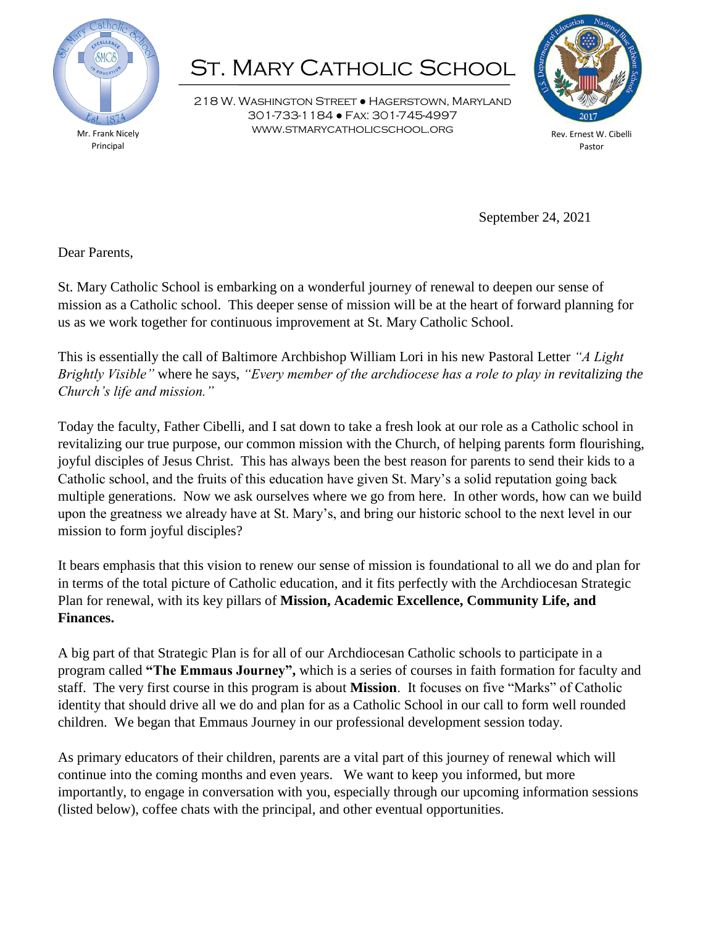

Mr. Frank Nicely Principal

## **ST. MARY CATHOLIC SCHOOL**

218 W. Washington Street ● Hagerstown, Maryland 301-733-1184 ● Fax: 301-745-4997 www.stmarycatholicschool.org



Rev. Ernest W. Cibelli Pastor

September 24, 2021

Dear Parents,

St. Mary Catholic School is embarking on a wonderful journey of renewal to deepen our sense of mission as a Catholic school. This deeper sense of mission will be at the heart of forward planning for us as we work together for continuous improvement at St. Mary Catholic School.

This is essentially the call of Baltimore Archbishop William Lori in his new Pastoral Letter *"A Light Brightly Visible"* where he says, *"Every member of the archdiocese has a role to play in revitalizing the Church's life and mission."* 

Today the faculty, Father Cibelli, and I sat down to take a fresh look at our role as a Catholic school in revitalizing our true purpose, our common mission with the Church, of helping parents form flourishing, joyful disciples of Jesus Christ. This has always been the best reason for parents to send their kids to a Catholic school, and the fruits of this education have given St. Mary's a solid reputation going back multiple generations. Now we ask ourselves where we go from here. In other words, how can we build upon the greatness we already have at St. Mary's, and bring our historic school to the next level in our mission to form joyful disciples?

It bears emphasis that this vision to renew our sense of mission is foundational to all we do and plan for in terms of the total picture of Catholic education, and it fits perfectly with the Archdiocesan Strategic Plan for renewal, with its key pillars of **Mission, Academic Excellence, Community Life, and Finances.**

A big part of that Strategic Plan is for all of our Archdiocesan Catholic schools to participate in a program called **"The Emmaus Journey",** which is a series of courses in faith formation for faculty and staff. The very first course in this program is about **Mission**. It focuses on five "Marks" of Catholic identity that should drive all we do and plan for as a Catholic School in our call to form well rounded children. We began that Emmaus Journey in our professional development session today.

As primary educators of their children, parents are a vital part of this journey of renewal which will continue into the coming months and even years. We want to keep you informed, but more importantly, to engage in conversation with you, especially through our upcoming information sessions (listed below), coffee chats with the principal, and other eventual opportunities.